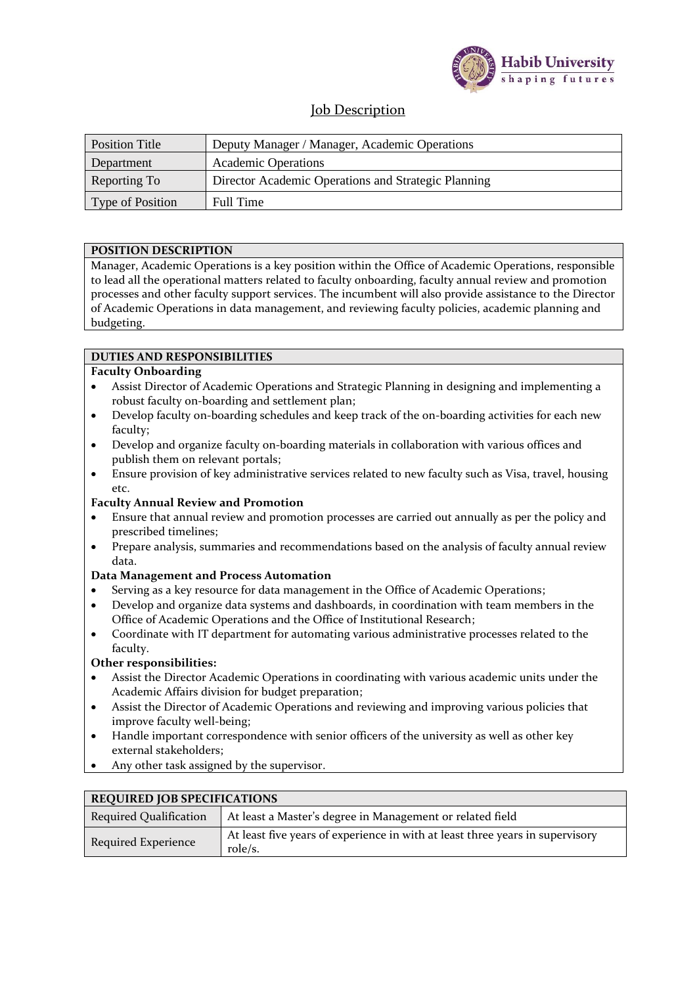

# Job Description

| Position Title   | Deputy Manager / Manager, Academic Operations       |  |
|------------------|-----------------------------------------------------|--|
| Department       | <b>Academic Operations</b>                          |  |
| Reporting To     | Director Academic Operations and Strategic Planning |  |
| Type of Position | Full Time                                           |  |

# **POSITION DESCRIPTION**

Manager, Academic Operations is a key position within the Office of Academic Operations, responsible to lead all the operational matters related to faculty onboarding, faculty annual review and promotion processes and other faculty support services. The incumbent will also provide assistance to the Director of Academic Operations in data management, and reviewing faculty policies, academic planning and budgeting.

# **DUTIES AND RESPONSIBILITIES**

# **Faculty Onboarding**

- Assist Director of Academic Operations and Strategic Planning in designing and implementing a robust faculty on-boarding and settlement plan;
- Develop faculty on-boarding schedules and keep track of the on-boarding activities for each new faculty;
- Develop and organize faculty on-boarding materials in collaboration with various offices and publish them on relevant portals;
- Ensure provision of key administrative services related to new faculty such as Visa, travel, housing etc.

### **Faculty Annual Review and Promotion**

- Ensure that annual review and promotion processes are carried out annually as per the policy and prescribed timelines;
- Prepare analysis, summaries and recommendations based on the analysis of faculty annual review data.

### **Data Management and Process Automation**

- Serving as a key resource for data management in the Office of Academic Operations;
- Develop and organize data systems and dashboards, in coordination with team members in the Office of Academic Operations and the Office of Institutional Research;
- Coordinate with IT department for automating various administrative processes related to the faculty.

### **Other responsibilities:**

- Assist the Director Academic Operations in coordinating with various academic units under the Academic Affairs division for budget preparation;
- Assist the Director of Academic Operations and reviewing and improving various policies that improve faculty well-being;
- Handle important correspondence with senior officers of the university as well as other key external stakeholders;
- Any other task assigned by the supervisor.

| REQUIRED JOB 31 ECH RATIONS   |                                                                                          |  |  |
|-------------------------------|------------------------------------------------------------------------------------------|--|--|
| <b>Required Qualification</b> | At least a Master's degree in Management or related field                                |  |  |
| Required Experience           | At least five years of experience in with at least three years in supervisory<br>role/s. |  |  |

### **EDEQUIPED JOB SPECIFICATIONS**